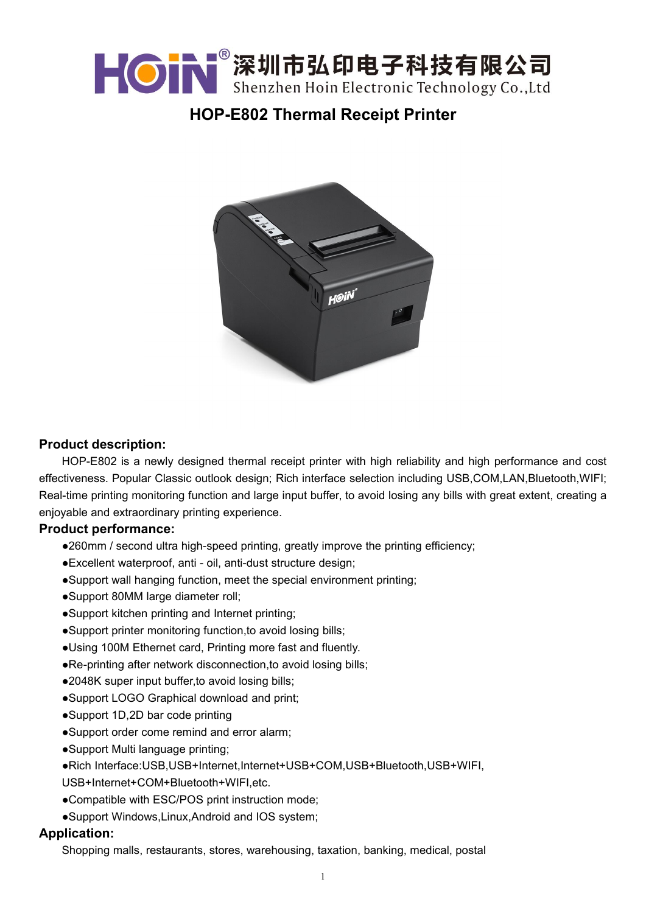

# **HOP-E802 Thermal Receipt Printer**



### **Product description:**

HOP-E802 is a newly designed thermal receipt printer with high reliability and high performance and cost effectiveness. Popular Classic outlook design; Rich interface selection including USB,COM,LAN,Bluetooth,WIFI; Real-time printing monitoring function and large input buffer, to avoid losing any bills with great extent, creating a enjoyable and extraordinary printing experience.

#### **Product performance:**

- ●260mm / second ultra high-speed printing, greatly improve the printing efficiency;
- ●Excellent waterproof, anti oil, anti-dust structure design;
- ●Support wall hanging function, meet the special environment printing;
- ●Support 80MM large diameter roll;
- ●Support kitchen printing and Internet printing;
- ●Support printer monitoring function,to avoid losing bills;
- ●Using 100M Ethernet card, Printing more fast and fluently.
- ●Re-printing after network disconnection,to avoid losing bills;
- ●2048K super input buffer,to avoid losing bills;
- ●Support LOGO Graphical download and print;
- ●Support 1D,2D bar code printing
- ●Support order come remind and error alarm;
- ●Support Multi language printing;
- ●Rich Interface:USB,USB+Internet,Internet+USB+COM,USB+Bluetooth,USB+WIFI,

USB+Internet+COM+Bluetooth+WIFI,etc.

- ●Compatible with ESC/POS print instruction mode;
- ●Support Windows,Linux,Android and IOS system;

#### **Application:**

Shopping malls, restaurants, stores, warehousing, taxation, banking, medical, postal